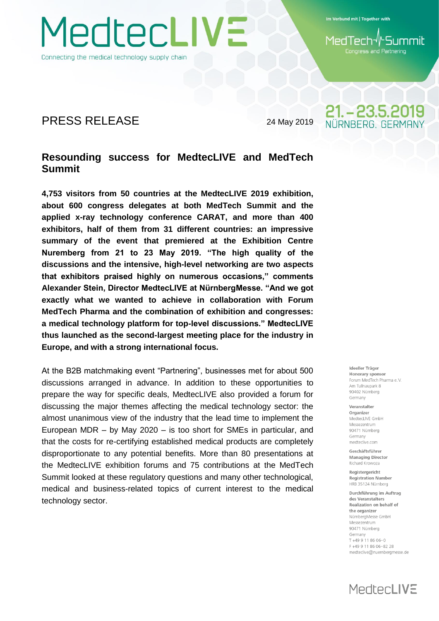Connecting the medical technology supply chain

MedtecLIVE

Im Verbund mit | Together with

-Summit MedTech Congress and Partnering

21. - 23.5.2019 NÜRNBERG, GERMAN'

### PRESS RELEASE 24 May 2019

#### **Resounding success for MedtecLIVE and MedTech Summit**

**4,753 visitors from 50 countries at the MedtecLIVE 2019 exhibition, about 600 congress delegates at both MedTech Summit and the applied x-ray technology conference CARAT, and more than 400 exhibitors, half of them from 31 different countries: an impressive summary of the event that premiered at the Exhibition Centre Nuremberg from 21 to 23 May 2019. "The high quality of the discussions and the intensive, high-level networking are two aspects that exhibitors praised highly on numerous occasions," comments Alexander Stein, Director MedtecLIVE at NürnbergMesse. "And we got exactly what we wanted to achieve in collaboration with Forum MedTech Pharma and the combination of exhibition and congresses: a medical technology platform for top-level discussions." MedtecLIVE thus launched as the second-largest meeting place for the industry in Europe, and with a strong international focus.**

At the B2B matchmaking event "Partnering", businesses met for about 500 discussions arranged in advance. In addition to these opportunities to prepare the way for specific deals, MedtecLIVE also provided a forum for discussing the major themes affecting the medical technology sector: the almost unanimous view of the industry that the lead time to implement the European MDR – by May 2020 – is too short for SMEs in particular, and that the costs for re-certifying established medical products are completely disproportionate to any potential benefits. More than 80 presentations at the MedtecLIVE exhibition forums and 75 contributions at the MedTech Summit looked at these regulatory questions and many other technological, medical and business-related topics of current interest to the medical technology sector.

Ideeller Träger Honorary sponsor Forum MedTech Pharma e V Am Tullnaunark 8 90402 Nürnberg Germany

Veranstalter Organizer MedtecLIVE GmbH Messezentrum 90471 Nürnberg Germany medteclive.com

Geschäftsführer **Managing Director** Richard Krowoza

Registergericht **Registration Number** HRB 35124 Nürnberg

Durchführung im Auftrag des Veranstalters Realization on behalf of the organizer NürnbergMesse GmbH Messezentrum 90471 Nürnberg Germany T+49 9 11 86 06-0 F +49 9 11 86 06 - 82 28 medteclive@nuernbergmesse.de